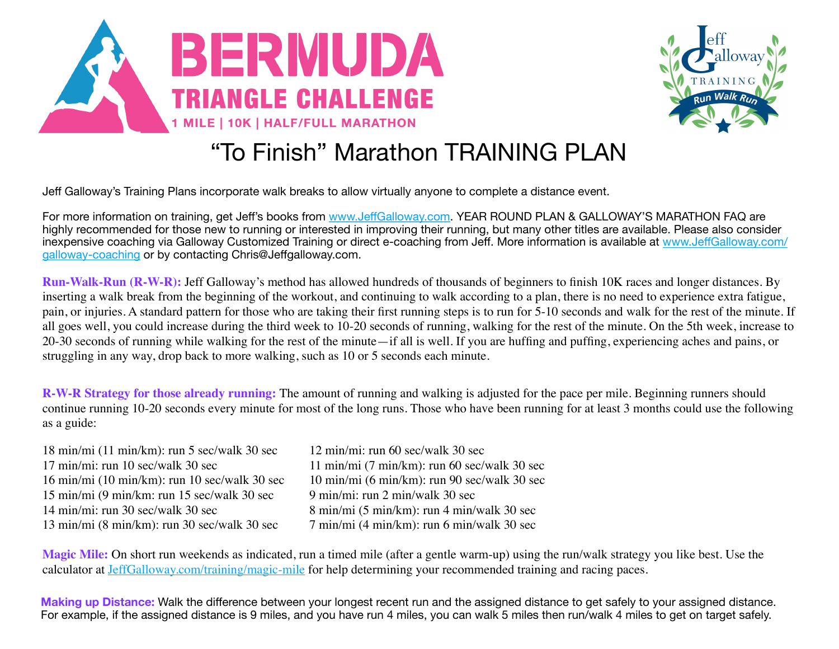



## "To Finish" Marathon TRAINING PLAN

Jeff Galloway's Training Plans incorporate walk breaks to allow virtually anyone to complete a distance event.

For more information on training, get Jeff's books from www.Jeff[Galloway.com.](http://www.jeffgalloway.com/) YEAR ROUND PLAN & GALLOWAY'S MARATHON FAQ are highly recommended for those new to running or interested in improving their running, but many other titles are available. Please also consider inexpensive coaching via Galloway Customized Training or direct e-coaching from Jeff. More information is available at www.Jeff[Galloway.com/](http://www.jeffgalloway.com/galloway-coaching) [galloway-coaching](http://www.jeffgalloway.com/galloway-coaching) or by contacting Chris@Jeffgalloway.com.

**Run-Walk-Run (R-W-R):** Jeff Galloway's method has allowed hundreds of thousands of beginners to finish 10K races and longer distances. By inserting a walk break from the beginning of the workout, and continuing to walk according to a plan, there is no need to experience extra fatigue, pain, or injuries. A standard pattern for those who are taking their first running steps is to run for 5-10 seconds and walk for the rest of the minute. If all goes well, you could increase during the third week to 10-20 seconds of running, walking for the rest of the minute. On the 5th week, increase to 20-30 seconds of running while walking for the rest of the minute—if all is well. If you are huffing and puffing, experiencing aches and pains, or struggling in any way, drop back to more walking, such as 10 or 5 seconds each minute.

**R-W-R Strategy for those already running:** The amount of running and walking is adjusted for the pace per mile. Beginning runners should continue running 10-20 seconds every minute for most of the long runs. Those who have been running for at least 3 months could use the following as a guide:

| 12 min/mi: run 60 sec/walk 30 sec                       |
|---------------------------------------------------------|
| $11 \text{ min/min}$ (7 min/km): run 60 sec/walk 30 sec |
| 10 min/mi (6 min/km): run 90 sec/walk 30 sec            |
| 9 min/mi: run 2 min/walk 30 sec                         |
| 8 min/mi (5 min/km): run 4 min/walk 30 sec              |
| 7 min/mi (4 min/km): run 6 min/walk 30 sec              |
|                                                         |

**Magic Mile:** On short run weekends as indicated, run a timed mile (after a gentle warm-up) using the run/walk strategy you like best. Use the calculator at [JeffGalloway.com/training/magic-mile](http://JeffGalloway.com/training/magic-mile) for help determining your recommended training and racing paces.

**Making up Distance:** Walk the difference between your longest recent run and the assigned distance to get safely to your assigned distance. For example, if the assigned distance is 9 miles, and you have run 4 miles, you can walk 5 miles then run/walk 4 miles to get on target safely.